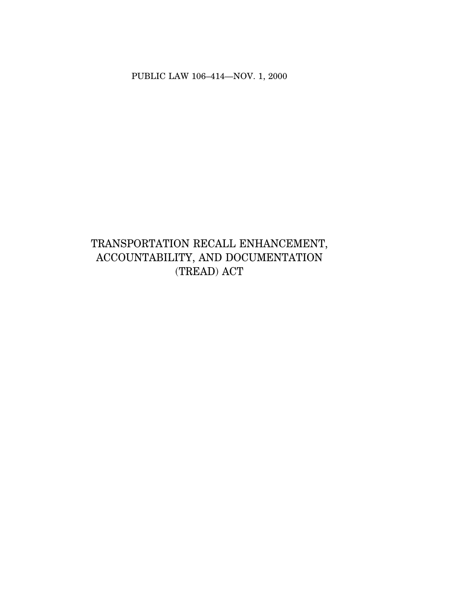PUBLIC LAW 106–414—NOV. 1, 2000

# TRANSPORTATION RECALL ENHANCEMENT, ACCOUNTABILITY, AND DOCUMENTATION (TREAD) ACT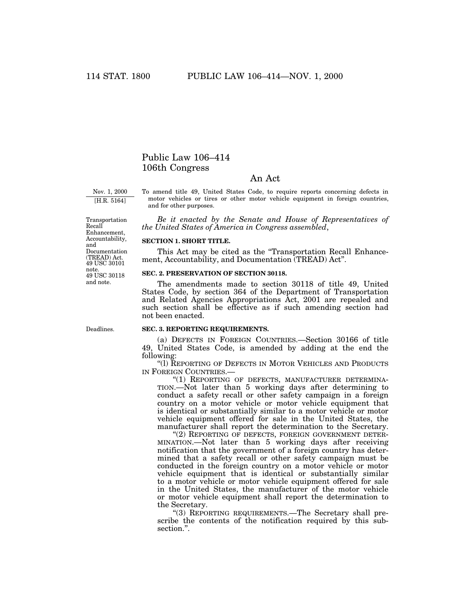# Public Law 106–414 106th Congress

# An Act

Nov. 1, 2000 [H.R. 5164]

To amend title 49, United States Code, to require reports concerning defects in motor vehicles or tires or other motor vehicle equipment in foreign countries, and for other purposes.

*Be it enacted by the Senate and House of Representatives of the United States of America in Congress assembled*,

#### **SECTION 1. SHORT TITLE.**

This Act may be cited as the "Transportation Recall Enhancement, Accountability, and Documentation (TREAD) Act''.

# **SEC. 2. PRESERVATION OF SECTION 30118.**

The amendments made to section 30118 of title 49, United States Code, by section 364 of the Department of Transportation and Related Agencies Appropriations Act, 2001 are repealed and such section shall be effective as if such amending section had not been enacted.

#### **SEC. 3. REPORTING REQUIREMENTS.**

(a) DEFECTS IN FOREIGN COUNTRIES.—Section 30166 of title 49, United States Code, is amended by adding at the end the following:

''(l) REPORTING OF DEFECTS IN MOTOR VEHICLES AND PRODUCTS IN FOREIGN COUNTRIES.—

"(1) REPORTING OF DEFECTS, MANUFACTURER DETERMINA-TION.—Not later than 5 working days after determining to conduct a safety recall or other safety campaign in a foreign country on a motor vehicle or motor vehicle equipment that is identical or substantially similar to a motor vehicle or motor vehicle equipment offered for sale in the United States, the manufacturer shall report the determination to the Secretary.

"(2) REPORTING OF DEFECTS, FOREIGN GOVERNMENT DETER-MINATION.—Not later than 5 working days after receiving notification that the government of a foreign country has determined that a safety recall or other safety campaign must be conducted in the foreign country on a motor vehicle or motor vehicle equipment that is identical or substantially similar to a motor vehicle or motor vehicle equipment offered for sale in the United States, the manufacturer of the motor vehicle or motor vehicle equipment shall report the determination to the Secretary.

''(3) REPORTING REQUIREMENTS.—The Secretary shall prescribe the contents of the notification required by this subsection.''.

49 USC 30118 note. and note. 49 USC 30101 Transportation Recall Enhancement, Accountability, and Documentation (TREAD) Act.

Deadlines.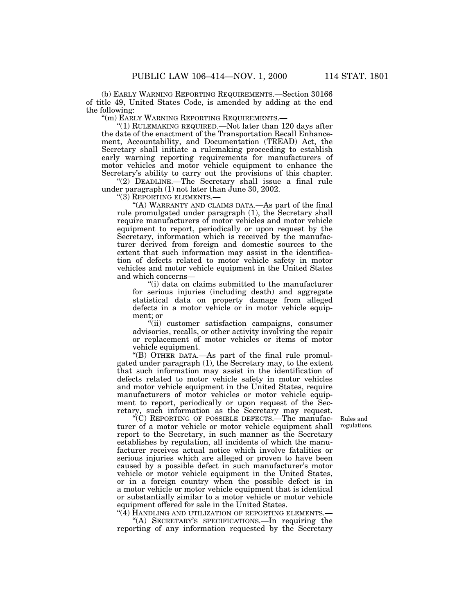(b) EARLY WARNING REPORTING REQUIREMENTS.—Section 30166 of title 49, United States Code, is amended by adding at the end the following:

''(m) EARLY WARNING REPORTING REQUIREMENTS.—

''(1) RULEMAKING REQUIRED.—Not later than 120 days after the date of the enactment of the Transportation Recall Enhancement, Accountability, and Documentation (TREAD) Act, the Secretary shall initiate a rulemaking proceeding to establish early warning reporting requirements for manufacturers of motor vehicles and motor vehicle equipment to enhance the Secretary's ability to carry out the provisions of this chapter.

"(2) DEADLINE.—The Secretary shall issue a final rule under paragraph (1) not later than June 30, 2002.

''(3) REPORTING ELEMENTS.—

"(A) WARRANTY AND CLAIMS DATA.—As part of the final rule promulgated under paragraph (1), the Secretary shall require manufacturers of motor vehicles and motor vehicle equipment to report, periodically or upon request by the Secretary, information which is received by the manufacturer derived from foreign and domestic sources to the extent that such information may assist in the identification of defects related to motor vehicle safety in motor vehicles and motor vehicle equipment in the United States and which concerns—

''(i) data on claims submitted to the manufacturer for serious injuries (including death) and aggregate statistical data on property damage from alleged defects in a motor vehicle or in motor vehicle equipment; or

''(ii) customer satisfaction campaigns, consumer advisories, recalls, or other activity involving the repair or replacement of motor vehicles or items of motor vehicle equipment.

''(B) OTHER DATA.—As part of the final rule promulgated under paragraph (1), the Secretary may, to the extent that such information may assist in the identification of defects related to motor vehicle safety in motor vehicles and motor vehicle equipment in the United States, require manufacturers of motor vehicles or motor vehicle equipment to report, periodically or upon request of the Secretary, such information as the Secretary may request.

Rules and regulations.

''(C) REPORTING OF POSSIBLE DEFECTS.—The manufacturer of a motor vehicle or motor vehicle equipment shall report to the Secretary, in such manner as the Secretary establishes by regulation, all incidents of which the manufacturer receives actual notice which involve fatalities or serious injuries which are alleged or proven to have been caused by a possible defect in such manufacturer's motor vehicle or motor vehicle equipment in the United States, or in a foreign country when the possible defect is in a motor vehicle or motor vehicle equipment that is identical or substantially similar to a motor vehicle or motor vehicle equipment offered for sale in the United States.

" $(4)$  Handling and utilization of reporting elements.— "(A) SECRETARY'S SPECIFICATIONS.—In requiring the reporting of any information requested by the Secretary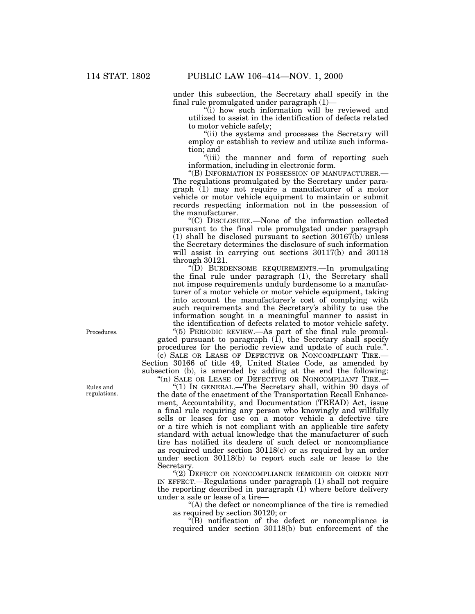under this subsection, the Secretary shall specify in the final rule promulgated under paragraph (1)—

"(i) how such information will be reviewed and utilized to assist in the identification of defects related to motor vehicle safety;

''(ii) the systems and processes the Secretary will employ or establish to review and utilize such information; and

''(iii) the manner and form of reporting such information, including in electronic form.

''(B) INFORMATION IN POSSESSION OF MANUFACTURER.— The regulations promulgated by the Secretary under paragraph (1) may not require a manufacturer of a motor vehicle or motor vehicle equipment to maintain or submit records respecting information not in the possession of the manufacturer.

''(C) DISCLOSURE.—None of the information collected pursuant to the final rule promulgated under paragraph (1) shall be disclosed pursuant to section 30167(b) unless the Secretary determines the disclosure of such information will assist in carrying out sections  $30117(b)$  and  $30118$ through 30121.

''(D) BURDENSOME REQUIREMENTS.—In promulgating the final rule under paragraph (1), the Secretary shall not impose requirements unduly burdensome to a manufacturer of a motor vehicle or motor vehicle equipment, taking into account the manufacturer's cost of complying with such requirements and the Secretary's ability to use the information sought in a meaningful manner to assist in the identification of defects related to motor vehicle safety.

''(5) PERIODIC REVIEW.—As part of the final rule promulgated pursuant to paragraph (1), the Secretary shall specify procedures for the periodic review and update of such rule.' (c) SALE OR LEASE OF DEFECTIVE OR NONCOMPLIANT TIRE.— Section 30166 of title 49, United States Code, as amended by subsection (b), is amended by adding at the end the following:

"(n) SALE OR LEASE OF DEFECTIVE OR NONCOMPLIANT TIRE.-" $(1)$  In GENERAL.—The Secretary shall, within 90 days of the date of the enactment of the Transportation Recall Enhancement, Accountability, and Documentation (TREAD) Act, issue a final rule requiring any person who knowingly and willfully sells or leases for use on a motor vehicle a defective tire or a tire which is not compliant with an applicable tire safety standard with actual knowledge that the manufacturer of such tire has notified its dealers of such defect or noncompliance as required under section 30118(c) or as required by an order under section 30118(b) to report such sale or lease to the Secretary.

"(2) DEFECT OR NONCOMPLIANCE REMEDIED OR ORDER NOT IN EFFECT.—Regulations under paragraph (1) shall not require the reporting described in paragraph  $(1)$  where before delivery under a sale or lease of a tire—

''(A) the defect or noncompliance of the tire is remedied as required by section 30120; or

''(B) notification of the defect or noncompliance is required under section 30118(b) but enforcement of the

Procedures.

Rules and regulations.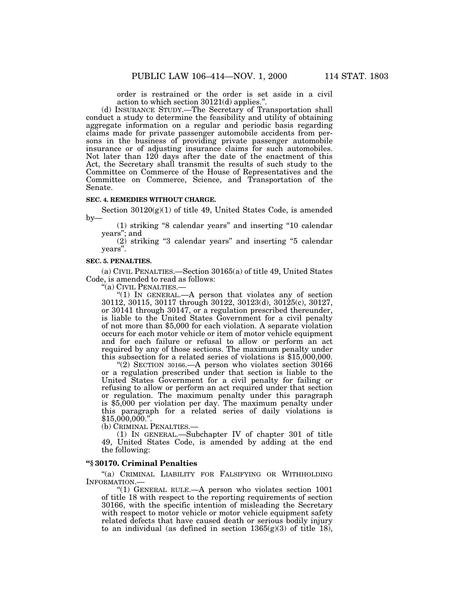order is restrained or the order is set aside in a civil action to which section  $30121(d)$  applies.<sup>1</sup>

(d) INSURANCE STUDY.—The Secretary of Transportation shall conduct a study to determine the feasibility and utility of obtaining aggregate information on a regular and periodic basis regarding claims made for private passenger automobile accidents from persons in the business of providing private passenger automobile insurance or of adjusting insurance claims for such automobiles. Not later than 120 days after the date of the enactment of this Act, the Secretary shall transmit the results of such study to the Committee on Commerce of the House of Representatives and the Committee on Commerce, Science, and Transportation of the Senate.

#### **SEC. 4. REMEDIES WITHOUT CHARGE.**

Section  $30120(g)(1)$  of title 49, United States Code, is amended  $by-$ 

(1) striking ''8 calendar years'' and inserting ''10 calendar years''; and

(2) striking ''3 calendar years'' and inserting ''5 calendar years''.

# **SEC. 5. PENALTIES.**

(a) CIVIL PENALTIES.—Section 30165(a) of title 49, United States Code, is amended to read as follows:

''(a) CIVIL PENALTIES.—

"(1) In GENERAL.—A person that violates any of section 30112, 30115, 30117 through 30122, 30123(d), 30125(c), 30127, or 30141 through 30147, or a regulation prescribed thereunder, is liable to the United States Government for a civil penalty of not more than \$5,000 for each violation. A separate violation occurs for each motor vehicle or item of motor vehicle equipment and for each failure or refusal to allow or perform an act required by any of those sections. The maximum penalty under this subsection for a related series of violations is \$15,000,000.

"(2) SECTION 30166.—A person who violates section  $30166$ or a regulation prescribed under that section is liable to the United States Government for a civil penalty for failing or refusing to allow or perform an act required under that section or regulation. The maximum penalty under this paragraph is \$5,000 per violation per day. The maximum penalty under this paragraph for a related series of daily violations is  $$15,000,000."$ 

(b) CRIMINAL PENALTIES.—

(1) IN GENERAL.—Subchapter IV of chapter 301 of title 49, United States Code, is amended by adding at the end the following:

# **''§ 30170. Criminal Penalties**

"(a) CRIMINAL LIABILITY FOR FALSIFYING OR WITHHOLDING INFORMATION.—

''(1) GENERAL RULE.—A person who violates section 1001 of title 18 with respect to the reporting requirements of section 30166, with the specific intention of misleading the Secretary with respect to motor vehicle or motor vehicle equipment safety related defects that have caused death or serious bodily injury to an individual (as defined in section  $1365(g)(3)$  of title 18),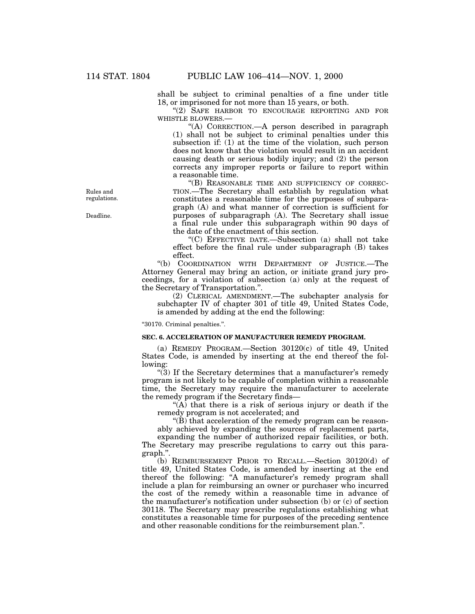shall be subject to criminal penalties of a fine under title 18, or imprisoned for not more than 15 years, or both.

''(2) SAFE HARBOR TO ENCOURAGE REPORTING AND FOR WHISTLE BLOWERS.—

''(A) CORRECTION.—A person described in paragraph (1) shall not be subject to criminal penalties under this subsection if: (1) at the time of the violation, such person does not know that the violation would result in an accident causing death or serious bodily injury; and (2) the person corrects any improper reports or failure to report within a reasonable time.

''(B) REASONABLE TIME AND SUFFICIENCY OF CORREC-TION.—The Secretary shall establish by regulation what constitutes a reasonable time for the purposes of subparagraph (A) and what manner of correction is sufficient for purposes of subparagraph (A). The Secretary shall issue a final rule under this subparagraph within 90 days of the date of the enactment of this section.

''(C) EFFECTIVE DATE.—Subsection (a) shall not take effect before the final rule under subparagraph (B) takes effect.

''(b) COORDINATION WITH DEPARTMENT OF JUSTICE.—The Attorney General may bring an action, or initiate grand jury proceedings, for a violation of subsection (a) only at the request of the Secretary of Transportation.''.

(2) CLERICAL AMENDMENT.—The subchapter analysis for subchapter IV of chapter 301 of title 49, United States Code, is amended by adding at the end the following:

''30170. Criminal penalties.''.

#### **SEC. 6. ACCELERATION OF MANUFACTURER REMEDY PROGRAM.**

(a) REMEDY PROGRAM.—Section 30120(c) of title 49, United States Code, is amended by inserting at the end thereof the following:

"(3) If the Secretary determines that a manufacturer's remedy program is not likely to be capable of completion within a reasonable time, the Secretary may require the manufacturer to accelerate the remedy program if the Secretary finds—

" $(A)$  that there is a risk of serious injury or death if the remedy program is not accelerated; and

 $\mathcal{F}(B)$  that acceleration of the remedy program can be reasonably achieved by expanding the sources of replacement parts,

expanding the number of authorized repair facilities, or both. The Secretary may prescribe regulations to carry out this paragraph.''.

(b) REIMBURSEMENT PRIOR TO RECALL.—Section 30120(d) of title 49, United States Code, is amended by inserting at the end thereof the following: ''A manufacturer's remedy program shall include a plan for reimbursing an owner or purchaser who incurred the cost of the remedy within a reasonable time in advance of the manufacturer's notification under subsection (b) or (c) of section 30118. The Secretary may prescribe regulations establishing what constitutes a reasonable time for purposes of the preceding sentence and other reasonable conditions for the reimbursement plan.''.

Rules and regulations.

Deadline.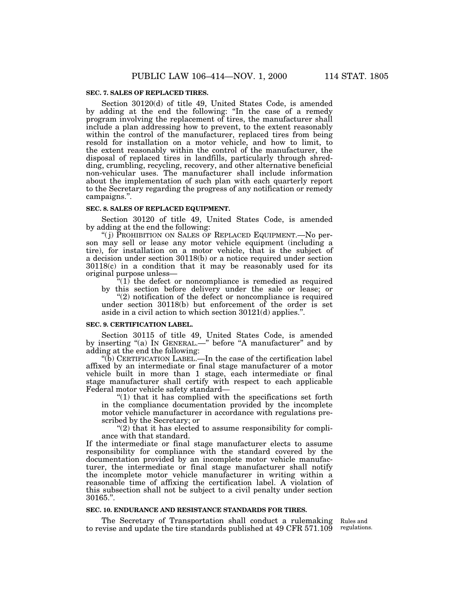# **SEC. 7. SALES OF REPLACED TIRES.**

Section 30120(d) of title 49, United States Code, is amended by adding at the end the following: ''In the case of a remedy program involving the replacement of tires, the manufacturer shall include a plan addressing how to prevent, to the extent reasonably within the control of the manufacturer, replaced tires from being resold for installation on a motor vehicle, and how to limit, to the extent reasonably within the control of the manufacturer, the disposal of replaced tires in landfills, particularly through shredding, crumbling, recycling, recovery, and other alternative beneficial non-vehicular uses. The manufacturer shall include information about the implementation of such plan with each quarterly report to the Secretary regarding the progress of any notification or remedy campaigns.''.

#### **SEC. 8. SALES OF REPLACED EQUIPMENT.**

Section 30120 of title 49, United States Code, is amended by adding at the end the following:

''( j) PROHIBITION ON SALES OF REPLACED EQUIPMENT.—No person may sell or lease any motor vehicle equipment (including a tire), for installation on a motor vehicle, that is the subject of a decision under section 30118(b) or a notice required under section 30118(c) in a condition that it may be reasonably used for its original purpose unless—

 $*(1)$  the defect or noncompliance is remedied as required by this section before delivery under the sale or lease; or

 $"(2)$  notification of the defect or noncompliance is required under section 30118(b) but enforcement of the order is set aside in a civil action to which section 30121(d) applies.''.

#### **SEC. 9. CERTIFICATION LABEL.**

Section 30115 of title 49, United States Code, is amended by inserting "(a) IN GENERAL.—" before "A manufacturer" and by adding at the end the following:

''(b) CERTIFICATION LABEL.—In the case of the certification label affixed by an intermediate or final stage manufacturer of a motor vehicle built in more than 1 stage, each intermediate or final stage manufacturer shall certify with respect to each applicable Federal motor vehicle safety standard—

 $(1)$  that it has complied with the specifications set forth in the compliance documentation provided by the incomplete motor vehicle manufacturer in accordance with regulations prescribed by the Secretary; or

" $(2)$  that it has elected to assume responsibility for compliance with that standard.

If the intermediate or final stage manufacturer elects to assume responsibility for compliance with the standard covered by the documentation provided by an incomplete motor vehicle manufacturer, the intermediate or final stage manufacturer shall notify the incomplete motor vehicle manufacturer in writing within a reasonable time of affixing the certification label. A violation of this subsection shall not be subject to a civil penalty under section 30165.''.

#### **SEC. 10. ENDURANCE AND RESISTANCE STANDARDS FOR TIRES.**

The Secretary of Transportation shall conduct a rulemaking Rules and to revise and update the tire standards published at 49 CFR 571.109

regulations.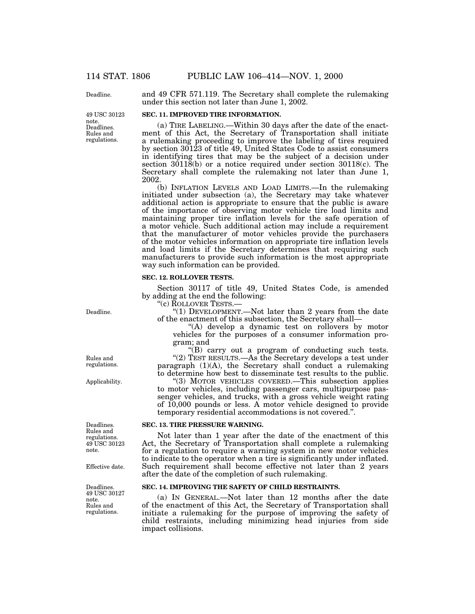Deadline.

Rules and regulations. Deadlines. 49 USC 30123 note.

and 49 CFR 571.119. The Secretary shall complete the rulemaking under this section not later than June 1, 2002.

# **SEC. 11. IMPROVED TIRE INFORMATION.**

(a) TIRE LABELING.—Within 30 days after the date of the enactment of this Act, the Secretary of Transportation shall initiate a rulemaking proceeding to improve the labeling of tires required by section 30123 of title 49, United States Code to assist consumers in identifying tires that may be the subject of a decision under section 30118(b) or a notice required under section 30118(c). The Secretary shall complete the rulemaking not later than June 1, 2002.

(b) INFLATION LEVELS AND LOAD LIMITS.—In the rulemaking initiated under subsection (a), the Secretary may take whatever additional action is appropriate to ensure that the public is aware of the importance of observing motor vehicle tire load limits and maintaining proper tire inflation levels for the safe operation of a motor vehicle. Such additional action may include a requirement that the manufacturer of motor vehicles provide the purchasers of the motor vehicles information on appropriate tire inflation levels and load limits if the Secretary determines that requiring such manufacturers to provide such information is the most appropriate way such information can be provided.

# **SEC. 12. ROLLOVER TESTS.**

Section 30117 of title 49, United States Code, is amended by adding at the end the following:

''(c) ROLLOVER TESTS.—

"(1) DEVELOPMENT.—Not later than 2 years from the date of the enactment of this subsection, the Secretary shall—

"(A) develop a dynamic test on rollovers by motor vehicles for the purposes of a consumer information program; and

"(B) carry out a program of conducting such tests. "(2) TEST RESULTS.—As the Secretary develops a test under paragraph  $(1)(A)$ , the Secretary shall conduct a rulemaking to determine how best to disseminate test results to the public.

''(3) MOTOR VEHICLES COVERED.—This subsection applies to motor vehicles, including passenger cars, multipurpose passenger vehicles, and trucks, with a gross vehicle weight rating of 10,000 pounds or less. A motor vehicle designed to provide temporary residential accommodations is not covered.''.

#### **SEC. 13. TIRE PRESSURE WARNING.**

Not later than 1 year after the date of the enactment of this Act, the Secretary of Transportation shall complete a rulemaking for a regulation to require a warning system in new motor vehicles to indicate to the operator when a tire is significantly under inflated. Such requirement shall become effective not later than 2 years after the date of the completion of such rulemaking.

# **SEC. 14. IMPROVING THE SAFETY OF CHILD RESTRAINTS.**

(a) IN GENERAL.—Not later than 12 months after the date of the enactment of this Act, the Secretary of Transportation shall initiate a rulemaking for the purpose of improving the safety of child restraints, including minimizing head injuries from side impact collisions.

Rules and regulations.

Deadline.

Applicability.

Deadlines. Rules and regulations. 49 USC 30123 note.

Effective date.

Rules and regulations. Deadlines. 49 USC 30127 note.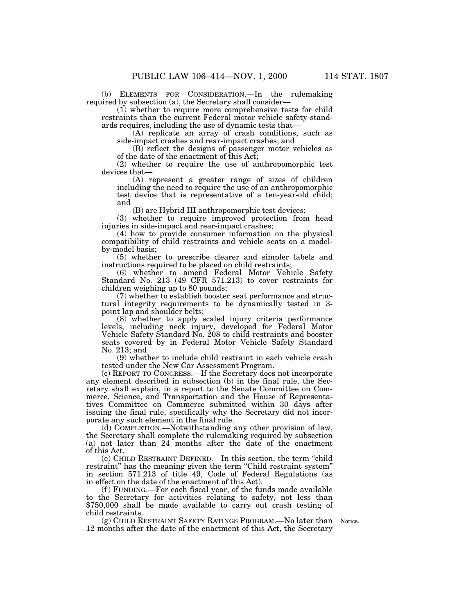(b) ELEMENTS FOR CONSIDERATION.—In the rulemaking required by subsection (a), the Secretary shall consider—

(1) whether to require more comprehensive tests for child restraints than the current Federal motor vehicle safety standards requires, including the use of dynamic tests that—

(A) replicate an array of crash conditions, such as side-impact crashes and rear-impact crashes; and

(B) reflect the designs of passenger motor vehicles as of the date of the enactment of this Act;

(2) whether to require the use of anthropomorphic test devices that—

(A) represent a greater range of sizes of children including the need to require the use of an anthropomorphic test device that is representative of a ten-year-old child; and

(B) are Hybrid III anthropomorphic test devices;

(3) whether to require improved protection from head injuries in side-impact and rear-impact crashes;

(4) how to provide consumer information on the physical compatibility of child restraints and vehicle seats on a modelby-model basis;

(5) whether to prescribe clearer and simpler labels and instructions required to be placed on child restraints;

(6) whether to amend Federal Motor Vehicle Safety Standard No. 213 (49 CFR 571.213) to cover restraints for children weighing up to 80 pounds;

(7) whether to establish booster seat performance and structural integrity requirements to be dynamically tested in 3 point lap and shoulder belts;

(8) whether to apply scaled injury criteria performance levels, including neck injury, developed for Federal Motor Vehicle Safety Standard No. 208 to child restraints and booster seats covered by in Federal Motor Vehicle Safety Standard No. 213; and

(9) whether to include child restraint in each vehicle crash tested under the New Car Assessment Program.

(c) REPORT TO CONGRESS.—If the Secretary does not incorporate any element described in subsection (b) in the final rule, the Secretary shall explain, in a report to the Senate Committee on Commerce, Science, and Transportation and the House of Representatives Committee on Commerce submitted within 30 days after issuing the final rule, specifically why the Secretary did not incorporate any such element in the final rule.

(d) COMPLETION.—Notwithstanding any other provision of law, the Secretary shall complete the rulemaking required by subsection (a) not later than 24 months after the date of the enactment of this Act.

(e) CHILD RESTRAINT DEFINED.—In this section, the term ''child restraint'' has the meaning given the term ''Child restraint system'' in section 571.213 of title 49, Code of Federal Regulations (as in effect on the date of the enactment of this Act).

(f ) FUNDING.—For each fiscal year, of the funds made available to the Secretary for activities relating to safety, not less than \$750,000 shall be made available to carry out crash testing of child restraints.

(g) CHILD RESTRAINT SAFETY RATINGS PROGRAM.—No later than Notice. 12 months after the date of the enactment of this Act, the Secretary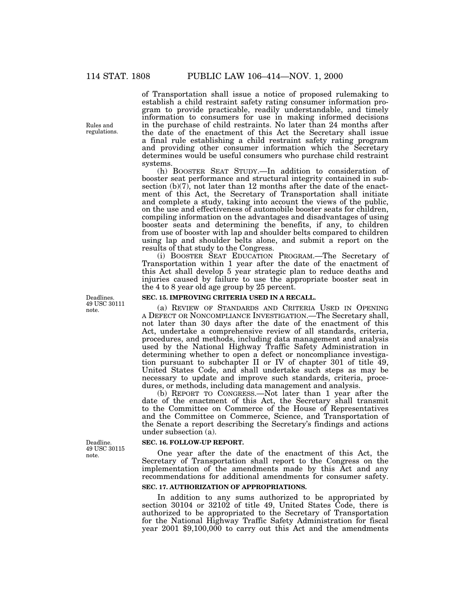of Transportation shall issue a notice of proposed rulemaking to establish a child restraint safety rating consumer information program to provide practicable, readily understandable, and timely information to consumers for use in making informed decisions in the purchase of child restraints. No later than 24 months after the date of the enactment of this Act the Secretary shall issue a final rule establishing a child restraint safety rating program and providing other consumer information which the Secretary determines would be useful consumers who purchase child restraint systems.

(h) BOOSTER SEAT STUDY.—In addition to consideration of booster seat performance and structural integrity contained in subsection (b)(7), not later than 12 months after the date of the enactment of this Act, the Secretary of Transportation shall initiate and complete a study, taking into account the views of the public, on the use and effectiveness of automobile booster seats for children, compiling information on the advantages and disadvantages of using booster seats and determining the benefits, if any, to children from use of booster with lap and shoulder belts compared to children using lap and shoulder belts alone, and submit a report on the results of that study to the Congress.

(i) BOOSTER SEAT EDUCATION PROGRAM.—The Secretary of Transportation within 1 year after the date of the enactment of this Act shall develop 5 year strategic plan to reduce deaths and injuries caused by failure to use the appropriate booster seat in the 4 to 8 year old age group by 25 percent.

# **SEC. 15. IMPROVING CRITERIA USED IN A RECALL.**

(a) REVIEW OF STANDARDS AND CRITERIA USED IN OPENING A DEFECT OR NONCOMPLIANCE INVESTIGATION.—The Secretary shall, not later than 30 days after the date of the enactment of this Act, undertake a comprehensive review of all standards, criteria, procedures, and methods, including data management and analysis used by the National Highway Traffic Safety Administration in determining whether to open a defect or noncompliance investigation pursuant to subchapter II or IV of chapter 301 of title 49, United States Code, and shall undertake such steps as may be necessary to update and improve such standards, criteria, procedures, or methods, including data management and analysis.

(b) REPORT TO CONGRESS.—Not later than 1 year after the date of the enactment of this Act, the Secretary shall transmit to the Committee on Commerce of the House of Representatives and the Committee on Commerce, Science, and Transportation of the Senate a report describing the Secretary's findings and actions under subsection (a).

# **SEC. 16. FOLLOW-UP REPORT.**

One year after the date of the enactment of this Act, the Secretary of Transportation shall report to the Congress on the implementation of the amendments made by this Act and any recommendations for additional amendments for consumer safety.

# **SEC. 17. AUTHORIZATION OF APPROPRIATIONS.**

In addition to any sums authorized to be appropriated by section 30104 or 32102 of title 49, United States Code, there is authorized to be appropriated to the Secretary of Transportation for the National Highway Traffic Safety Administration for fiscal year 2001 \$9,100,000 to carry out this Act and the amendments

Deadlines. 49 USC 30111 note.

Deadline. 49 USC 30115 note.

Rules and regulations.